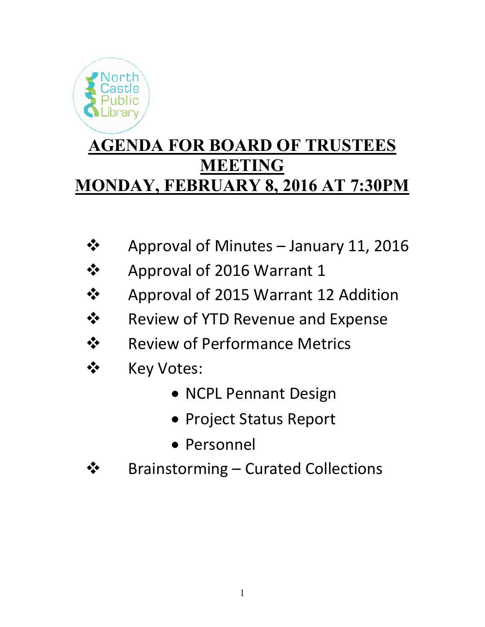

- Approval of Minutes January 11, 2016
- Approval of 2016 Warrant 1
- **❖** Approval of 2015 Warrant 12 Addition
- **❖** Review of YTD Revenue and Expense
- ❖ Review of Performance Metrics
- ❖ Key Votes:
	- NCPL Pennant Design
	- Project Status Report
	- Personnel
- **❖** Brainstorming Curated Collections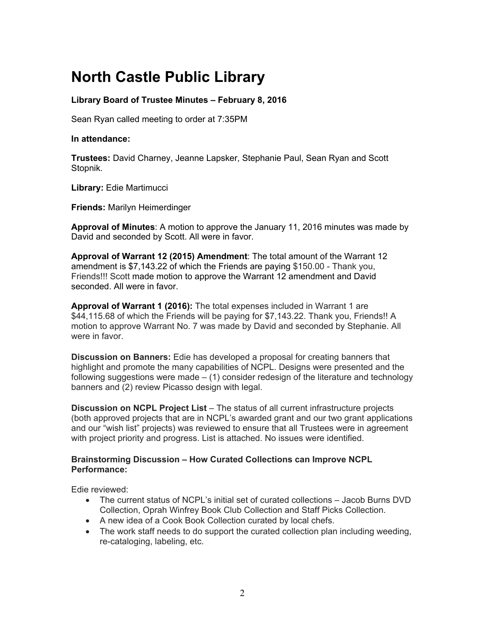# **North Castle Public Library**

# **Library Board of Trustee Minutes – February 8, 2016**

Sean Ryan called meeting to order at 7:35PM

## **In attendance:**

**Trustees:** David Charney, Jeanne Lapsker, Stephanie Paul, Sean Ryan and Scott Stopnik.

**Library:** Edie Martimucci

**Friends:** Marilyn Heimerdinger

**Approval of Minutes**: A motion to approve the January 11, 2016 minutes was made by David and seconded by Scott. All were in favor.

**Approval of Warrant 12 (2015) Amendment**: The total amount of the Warrant 12 amendment is \$7,143.22 of which the Friends are paying \$150.00 - Thank you, Friends!!! Scott made motion to approve the Warrant 12 amendment and David seconded. All were in favor.

**Approval of Warrant 1 (2016):** The total expenses included in Warrant 1 are \$44,115.68 of which the Friends will be paying for \$7,143.22. Thank you, Friends!! A motion to approve Warrant No. 7 was made by David and seconded by Stephanie. All were in favor.

**Discussion on Banners:** Edie has developed a proposal for creating banners that highlight and promote the many capabilities of NCPL. Designs were presented and the following suggestions were made – (1) consider redesign of the literature and technology banners and (2) review Picasso design with legal.

**Discussion on NCPL Project List** – The status of all current infrastructure projects (both approved projects that are in NCPL's awarded grant and our two grant applications and our "wish list" projects) was reviewed to ensure that all Trustees were in agreement with project priority and progress. List is attached. No issues were identified.

# **Brainstorming Discussion – How Curated Collections can Improve NCPL Performance:**

Edie reviewed:

- The current status of NCPL's initial set of curated collections Jacob Burns DVD Collection, Oprah Winfrey Book Club Collection and Staff Picks Collection.
- A new idea of a Cook Book Collection curated by local chefs.
- The work staff needs to do support the curated collection plan including weeding, re-cataloging, labeling, etc.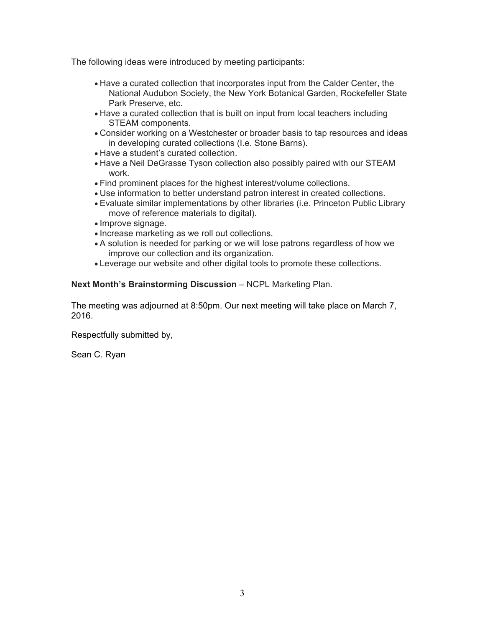The following ideas were introduced by meeting participants:

- Have a curated collection that incorporates input from the Calder Center, the National Audubon Society, the New York Botanical Garden, Rockefeller State Park Preserve, etc.
- Have a curated collection that is built on input from local teachers including STEAM components.
- Consider working on a Westchester or broader basis to tap resources and ideas in developing curated collections (I.e. Stone Barns).
- Have a student's curated collection.
- Have a Neil DeGrasse Tyson collection also possibly paired with our STEAM work.
- Find prominent places for the highest interest/volume collections.
- Use information to better understand patron interest in created collections.
- Evaluate similar implementations by other libraries (i.e. Princeton Public Library move of reference materials to digital).
- Improve signage.
- Increase marketing as we roll out collections.
- A solution is needed for parking or we will lose patrons regardless of how we improve our collection and its organization.
- Leverage our website and other digital tools to promote these collections.

# **Next Month's Brainstorming Discussion** – NCPL Marketing Plan.

The meeting was adjourned at 8:50pm. Our next meeting will take place on March 7, 2016.

Respectfully submitted by,

Sean C. Ryan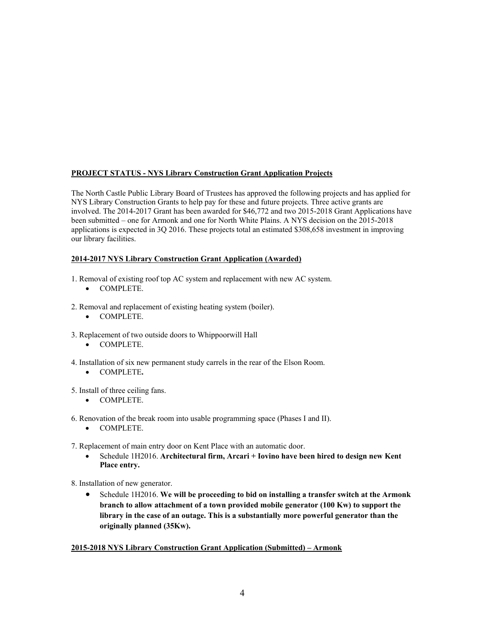## **PROJECT STATUS - NYS Library Construction Grant Application Projects**

The North Castle Public Library Board of Trustees has approved the following projects and has applied for NYS Library Construction Grants to help pay for these and future projects. Three active grants are involved. The 2014-2017 Grant has been awarded for \$46,772 and two 2015-2018 Grant Applications have been submitted – one for Armonk and one for North White Plains. A NYS decision on the 2015-2018 applications is expected in 3Q 2016. These projects total an estimated \$308,658 investment in improving our library facilities.

## **2014-2017 NYS Library Construction Grant Application (Awarded)**

- 1. Removal of existing roof top AC system and replacement with new AC system.
	- COMPLETE.
- 2. Removal and replacement of existing heating system (boiler).
	- COMPLETE.
- 3. Replacement of two outside doors to Whippoorwill Hall
	- COMPLETE.
- 4. Installation of six new permanent study carrels in the rear of the Elson Room.
	- COMPLETE**.**
- 5. Install of three ceiling fans.
	- COMPLETE.
- 6. Renovation of the break room into usable programming space (Phases I and II).
	- COMPLETE.
- 7. Replacement of main entry door on Kent Place with an automatic door.
	- Schedule 1H2016. **Architectural firm, Arcari + Iovino have been hired to design new Kent Place entry.**
- 8. Installation of new generator.
	- Schedule 1H2016. **We will be proceeding to bid on installing a transfer switch at the Armonk branch to allow attachment of a town provided mobile generator (100 Kw) to support the library in the case of an outage. This is a substantially more powerful generator than the originally planned (35Kw).**

#### **2015-2018 NYS Library Construction Grant Application (Submitted) – Armonk**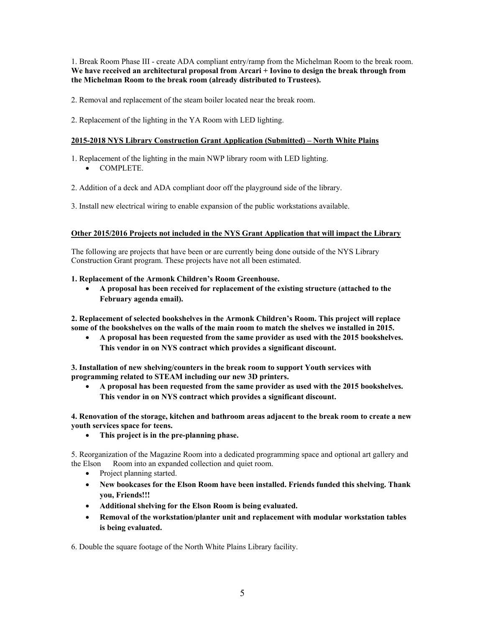1. Break Room Phase III - create ADA compliant entry/ramp from the Michelman Room to the break room. **We have received an architectural proposal from Arcari + Iovino to design the break through from the Michelman Room to the break room (already distributed to Trustees).** 

2. Removal and replacement of the steam boiler located near the break room.

2. Replacement of the lighting in the YA Room with LED lighting.

### **2015-2018 NYS Library Construction Grant Application (Submitted) – North White Plains**

1. Replacement of the lighting in the main NWP library room with LED lighting.

COMPLETE.

2. Addition of a deck and ADA compliant door off the playground side of the library.

3. Install new electrical wiring to enable expansion of the public workstations available.

#### **Other 2015/2016 Projects not included in the NYS Grant Application that will impact the Library**

The following are projects that have been or are currently being done outside of the NYS Library Construction Grant program. These projects have not all been estimated.

#### **1. Replacement of the Armonk Children's Room Greenhouse.**

 **A proposal has been received for replacement of the existing structure (attached to the February agenda email).** 

**2. Replacement of selected bookshelves in the Armonk Children's Room. This project will replace some of the bookshelves on the walls of the main room to match the shelves we installed in 2015.** 

 **A proposal has been requested from the same provider as used with the 2015 bookshelves. This vendor in on NYS contract which provides a significant discount.** 

**3. Installation of new shelving/counters in the break room to support Youth services with programming related to STEAM including our new 3D printers.** 

 **A proposal has been requested from the same provider as used with the 2015 bookshelves. This vendor in on NYS contract which provides a significant discount.** 

**4. Renovation of the storage, kitchen and bathroom areas adjacent to the break room to create a new youth services space for teens.** 

**This project is in the pre-planning phase.** 

5. Reorganization of the Magazine Room into a dedicated programming space and optional art gallery and the Elson Room into an expanded collection and quiet room.

- Project planning started.
- **New bookcases for the Elson Room have been installed. Friends funded this shelving. Thank you, Friends!!!**
- **Additional shelving for the Elson Room is being evaluated.**
- **Removal of the workstation/planter unit and replacement with modular workstation tables is being evaluated.**

6. Double the square footage of the North White Plains Library facility.